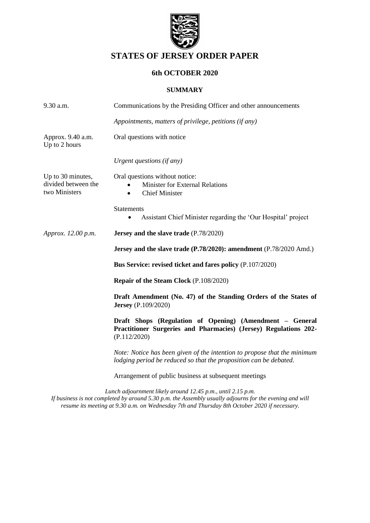

# **STATES OF JERSEY ORDER PAPER**

# **6th OCTOBER 2020**

### **SUMMARY**

| $9.30$ a.m.                                               | Communications by the Presiding Officer and other announcements                                                                                                                                                                                                                                                                    |  |  |
|-----------------------------------------------------------|------------------------------------------------------------------------------------------------------------------------------------------------------------------------------------------------------------------------------------------------------------------------------------------------------------------------------------|--|--|
|                                                           | Appointments, matters of privilege, petitions (if any)                                                                                                                                                                                                                                                                             |  |  |
| Approx. 9.40 a.m.<br>Up to 2 hours                        | Oral questions with notice                                                                                                                                                                                                                                                                                                         |  |  |
|                                                           | Urgent questions (if any)                                                                                                                                                                                                                                                                                                          |  |  |
| Up to 30 minutes,<br>divided between the<br>two Ministers | Oral questions without notice:<br><b>Minister for External Relations</b><br><b>Chief Minister</b><br>$\bullet$                                                                                                                                                                                                                     |  |  |
|                                                           | <b>Statements</b><br>Assistant Chief Minister regarding the 'Our Hospital' project<br>$\bullet$                                                                                                                                                                                                                                    |  |  |
| Approx. 12.00 p.m.                                        | Jersey and the slave trade (P.78/2020)                                                                                                                                                                                                                                                                                             |  |  |
|                                                           | Jersey and the slave trade (P.78/2020): amendment (P.78/2020 Amd.)                                                                                                                                                                                                                                                                 |  |  |
|                                                           | Bus Service: revised ticket and fares policy (P.107/2020)                                                                                                                                                                                                                                                                          |  |  |
|                                                           | Repair of the Steam Clock (P.108/2020)                                                                                                                                                                                                                                                                                             |  |  |
|                                                           | Draft Amendment (No. 47) of the Standing Orders of the States of<br><b>Jersey</b> (P.109/2020)                                                                                                                                                                                                                                     |  |  |
|                                                           | Draft Shops (Regulation of Opening) (Amendment - General<br>Practitioner Surgeries and Pharmacies) (Jersey) Regulations 202-<br>(P.112/2020)                                                                                                                                                                                       |  |  |
|                                                           | Note: Notice has been given of the intention to propose that the minimum<br>lodging period be reduced so that the proposition can be debated.                                                                                                                                                                                      |  |  |
|                                                           | Arrangement of public business at subsequent meetings                                                                                                                                                                                                                                                                              |  |  |
|                                                           | $\mathbf{r}$ $\mathbf{r}$ $\mathbf{r}$ $\mathbf{r}$ $\mathbf{r}$ $\mathbf{r}$ $\mathbf{r}$ $\mathbf{r}$ $\mathbf{r}$ $\mathbf{r}$ $\mathbf{r}$ $\mathbf{r}$ $\mathbf{r}$ $\mathbf{r}$ $\mathbf{r}$ $\mathbf{r}$ $\mathbf{r}$ $\mathbf{r}$ $\mathbf{r}$ $\mathbf{r}$ $\mathbf{r}$ $\mathbf{r}$ $\mathbf{r}$ $\mathbf{r}$ $\mathbf{$ |  |  |

*Lunch adjournment likely around 12.45 p.m., until 2.15 p.m. If business is not completed by around 5.30 p.m. the Assembly usually adjourns for the evening and will resume its meeting at 9.30 a.m. on Wednesday 7th and Thursday 8th October 2020 if necessary.*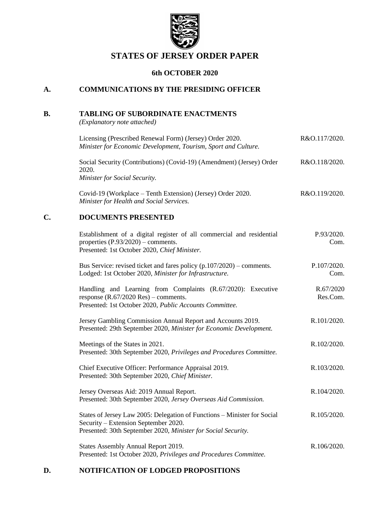

# **STATES OF JERSEY ORDER PAPER**

# **6th OCTOBER 2020**

## **A. COMMUNICATIONS BY THE PRESIDING OFFICER**

## **B. TABLING OF SUBORDINATE ENACTMENTS**

*(Explanatory note attached)*

|    | Licensing (Prescribed Renewal Form) (Jersey) Order 2020.<br>Minister for Economic Development, Tourism, Sport and Culture.                                                        | R&O.117/2020.         |
|----|-----------------------------------------------------------------------------------------------------------------------------------------------------------------------------------|-----------------------|
|    | Social Security (Contributions) (Covid-19) (Amendment) (Jersey) Order<br>2020.<br>Minister for Social Security.                                                                   | R&O.118/2020.         |
|    | Covid-19 (Workplace – Tenth Extension) (Jersey) Order 2020.<br>Minister for Health and Social Services.                                                                           | R&O.119/2020.         |
| C. | <b>DOCUMENTS PRESENTED</b>                                                                                                                                                        |                       |
|    | Establishment of a digital register of all commercial and residential<br>properties $(P.93/2020)$ – comments.<br>Presented: 1st October 2020, Chief Minister.                     | P.93/2020.<br>Com.    |
|    | Bus Service: revised ticket and fares policy $(p.107/2020)$ – comments.<br>Lodged: 1st October 2020, Minister for Infrastructure.                                                 | P.107/2020.<br>Com.   |
|    | Handling and Learning from Complaints (R.67/2020): Executive<br>response $(R.67/2020$ Res $)$ – comments.<br>Presented: 1st October 2020, Public Accounts Committee.              | R.67/2020<br>Res.Com. |
|    | Jersey Gambling Commission Annual Report and Accounts 2019.<br>Presented: 29th September 2020, Minister for Economic Development.                                                 | R.101/2020.           |
|    | Meetings of the States in 2021.<br>Presented: 30th September 2020, Privileges and Procedures Committee.                                                                           | R.102/2020.           |
|    | Chief Executive Officer: Performance Appraisal 2019.<br>Presented: 30th September 2020, Chief Minister.                                                                           | R.103/2020.           |
|    | Jersey Overseas Aid: 2019 Annual Report.<br>Presented: 30th September 2020, Jersey Overseas Aid Commission.                                                                       | R.104/2020.           |
|    | States of Jersey Law 2005: Delegation of Functions - Minister for Social<br>Security – Extension September 2020.<br>Presented: 30th September 2020, Minister for Social Security. | R.105/2020.           |
|    | States Assembly Annual Report 2019.<br>Presented: 1st October 2020, Privileges and Procedures Committee.                                                                          | R.106/2020.           |

### **D. NOTIFICATION OF LODGED PROPOSITIONS**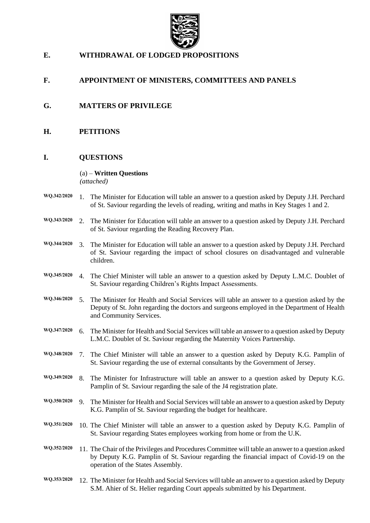

# **E. WITHDRAWAL OF LODGED PROPOSITIONS**

## **F. APPOINTMENT OF MINISTERS, COMMITTEES AND PANELS**

- **G. MATTERS OF PRIVILEGE**
- **H. PETITIONS**

#### **I. QUESTIONS**

#### (a) – **Written Questions**

*(attached)*

- **WQ.342/2020** 1. The Minister for Education will table an answer to a question asked by Deputy J.H. Perchard of St. Saviour regarding the levels of reading, writing and maths in Key Stages 1 and 2.
- **WQ.343/2020** 2. The Minister for Education will table an answer to a question asked by Deputy J.H. Perchard of St. Saviour regarding the Reading Recovery Plan.
- **WQ.344/2020** 3. The Minister for Education will table an answer to a question asked by Deputy J.H. Perchard of St. Saviour regarding the impact of school closures on disadvantaged and vulnerable children.
- **WQ.345/2020** 4. The Chief Minister will table an answer to a question asked by Deputy L.M.C. Doublet of St. Saviour regarding Children's Rights Impact Assessments.
- **WQ.346/2020** 5. The Minister for Health and Social Services will table an answer to a question asked by the Deputy of St. John regarding the doctors and surgeons employed in the Department of Health and Community Services.
- **WQ.347/2020** 6. The Minister for Health and Social Services will table an answer to a question asked by Deputy L.M.C. Doublet of St. Saviour regarding the Maternity Voices Partnership.
- **WQ.348/2020** 7. The Chief Minister will table an answer to a question asked by Deputy K.G. Pamplin of St. Saviour regarding the use of external consultants by the Government of Jersey.
- **WQ.349/2020** 8. The Minister for Infrastructure will table an answer to a question asked by Deputy K.G. Pamplin of St. Saviour regarding the sale of the J4 registration plate.
- **WQ.350/2020** 9. The Minister for Health and Social Services will table an answer to a question asked by Deputy K.G. Pamplin of St. Saviour regarding the budget for healthcare.
- **WQ.351/2020** 10. The Chief Minister will table an answer to a question asked by Deputy K.G. Pamplin of St. Saviour regarding States employees working from home or from the U.K.
- **WQ.352/2020** 11. The Chair of the Privileges and Procedures Committee will table an answer to a question asked by Deputy K.G. Pamplin of St. Saviour regarding the financial impact of Covid-19 on the operation of the States Assembly.
- **WQ.353/2020** 12. The Minister for Health and Social Services will table an answer to a question asked by Deputy S.M. Ahier of St. Helier regarding Court appeals submitted by his Department.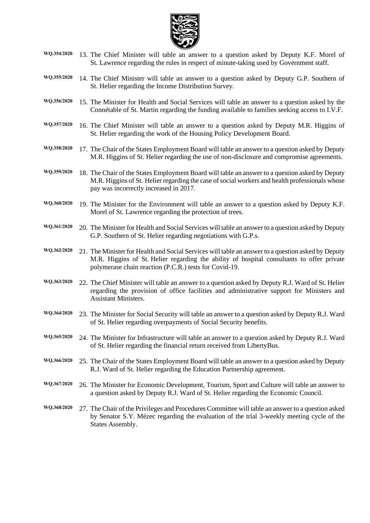

- **WQ.354/2020** 13. The Chief Minister will table an answer to a question asked by Deputy K.F. Morel of St. Lawrence regarding the rules in respect of minute-taking used by Government staff.
- **WQ.355/2020** 14. The Chief Minister will table an answer to a question asked by Deputy G.P. Southern of St. Helier regarding the Income Distribution Survey.
- **WQ.356/2020** 15. The Minister for Health and Social Services will table an answer to a question asked by the Connétable of St. Martin regarding the funding available to families seeking access to I.V.F.
- **WQ.357/2020** 16. The Chief Minister will table an answer to a question asked by Deputy M.R. Higgins of St. Helier regarding the work of the Housing Policy Development Board.
- **WQ.358/2020** 17. The Chair of the States Employment Board will table an answer to a question asked by Deputy M.R. Higgins of St. Helier regarding the use of non-disclosure and compromise agreements.
- **WQ.359/2020** 18. The Chair of the States Employment Board will table an answer to a question asked by Deputy M.R. Higgins of St. Helier regarding the case of social workers and health professionals whose pay was incorrectly increased in 2017.
- **WQ.360/2020** 19. The Minister for the Environment will table an answer to a question asked by Deputy K.F. Morel of St. Lawrence regarding the protection of trees.
- **WQ.361/2020** 20. The Minister for Health and Social Services will table an answer to a question asked by Deputy G.P. Southern of St. Helier regarding negotiations with G.P.s.
- **WQ.362/2020** 21. The Minister for Health and Social Services will table an answer to a question asked by Deputy M.R. Higgins of St. Helier regarding the ability of hospital consultants to offer private polymerase chain reaction (P.C.R.) tests for Covid-19.
- **WQ.363/2020** 22. The Chief Minister will table an answer to a question asked by Deputy R.J. Ward of St. Helier regarding the provision of office facilities and administrative support for Ministers and Assistant Ministers.
- **WQ.364/2020** 23. The Minister for Social Security will table an answer to a question asked by Deputy R.J. Ward of St. Helier regarding overpayments of Social Security benefits.
- **WQ.365/2020** 24. The Minister for Infrastructure will table an answer to a question asked by Deputy R.J. Ward of St. Helier regarding the financial return received from LibertyBus.
- **WQ.366/2020** 25. The Chair of the States Employment Board will table an answer to a question asked by Deputy R.J. Ward of St. Helier regarding the Education Partnership agreement.
- **WQ.367/2020** 26. The Minister for Economic Development, Tourism, Sport and Culture will table an answer to a question asked by Deputy R.J. Ward of St. Helier regarding the Economic Council.
- **WQ.368/2020** 27. The Chair of the Privileges and Procedures Committee will table an answer to a question asked by Senator S.Y. Mézec regarding the evaluation of the trial 3-weekly meeting cycle of the States Assembly.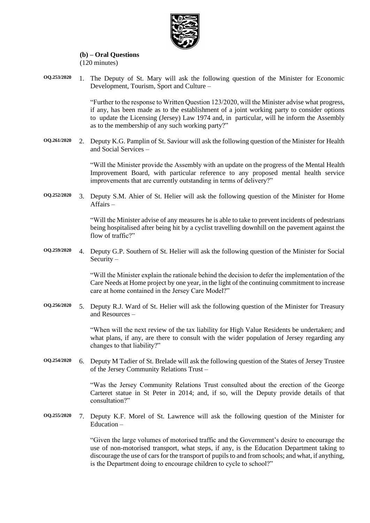

#### **(b) – Oral Questions** (120 minutes)

**OQ.253/2020** 1. The Deputy of St. Mary will ask the following question of the Minister for Economic Development, Tourism, Sport and Culture –

> "Further to the response to Written Question 123/2020, will the Minister advise what progress, if any, has been made as to the establishment of a joint working party to consider options to update the Licensing (Jersey) Law 1974 and, in particular, will he inform the Assembly as to the membership of any such working party?"

**OQ.261/2020** 2. Deputy K.G. Pamplin of St. Saviour will ask the following question of the Minister for Health and Social Services –

> "Will the Minister provide the Assembly with an update on the progress of the Mental Health Improvement Board, with particular reference to any proposed mental health service improvements that are currently outstanding in terms of delivery?"

**OQ.252/2020** 3. Deputy S.M. Ahier of St. Helier will ask the following question of the Minister for Home Affairs –

> "Will the Minister advise of any measures he is able to take to prevent incidents of pedestrians being hospitalised after being hit by a cyclist travelling downhill on the pavement against the flow of traffic?"

**OQ.259/2020** 4. Deputy G.P. Southern of St. Helier will ask the following question of the Minister for Social Security –

> "Will the Minister explain the rationale behind the decision to defer the implementation of the Care Needs at Home project by one year, in the light of the continuing commitment to increase care at home contained in the Jersey Care Model?"

**OQ.256/2020** 5. Deputy R.J. Ward of St. Helier will ask the following question of the Minister for Treasury and Resources –

> "When will the next review of the tax liability for High Value Residents be undertaken; and what plans, if any, are there to consult with the wider population of Jersey regarding any changes to that liability?"

**OQ.254/2020** 6. Deputy M Tadier of St. Brelade will ask the following question of the States of Jersey Trustee of the Jersey Community Relations Trust –

> "Was the Jersey Community Relations Trust consulted about the erection of the George Carteret statue in St Peter in 2014; and, if so, will the Deputy provide details of that consultation?"

**OQ.255/2020** 7. Deputy K.F. Morel of St. Lawrence will ask the following question of the Minister for Education –

> "Given the large volumes of motorised traffic and the Government's desire to encourage the use of non-motorised transport, what steps, if any, is the Education Department taking to discourage the use of cars for the transport of pupils to and from schools; and what, if anything, is the Department doing to encourage children to cycle to school?"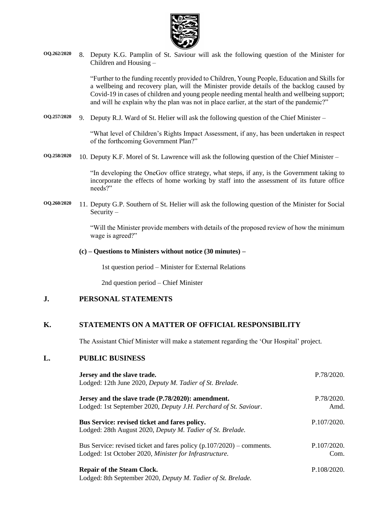

**OQ.262/2020** 8. Deputy K.G. Pamplin of St. Saviour will ask the following question of the Minister for Children and Housing –

> "Further to the funding recently provided to Children, Young People, Education and Skills for a wellbeing and recovery plan, will the Minister provide details of the backlog caused by Covid-19 in cases of children and young people needing mental health and wellbeing support; and will he explain why the plan was not in place earlier, at the start of the pandemic?"

**OQ.257/2020** 9. Deputy R.J. Ward of St. Helier will ask the following question of the Chief Minister –

"What level of Children's Rights Impact Assessment, if any, has been undertaken in respect of the forthcoming Government Plan?"

**OQ.258/2020** 10. Deputy K.F. Morel of St. Lawrence will ask the following question of the Chief Minister –

"In developing the OneGov office strategy, what steps, if any, is the Government taking to incorporate the effects of home working by staff into the assessment of its future office needs?"

**OQ.260/2020** 11. Deputy G.P. Southern of St. Helier will ask the following question of the Minister for Social Security –

> "Will the Minister provide members with details of the proposed review of how the minimum wage is agreed?"

#### **(c) – Questions to Ministers without notice (30 minutes) –**

1st question period – Minister for External Relations

2nd question period – Chief Minister

### **J. PERSONAL STATEMENTS**

### **K. STATEMENTS ON A MATTER OF OFFICIAL RESPONSIBILITY**

The Assistant Chief Minister will make a statement regarding the 'Our Hospital' project.

#### **L. PUBLIC BUSINESS**

| Jersey and the slave trade.<br>Lodged: 12th June 2020, Deputy M. Tadier of St. Brelade.                                           | P.78/2020.          |
|-----------------------------------------------------------------------------------------------------------------------------------|---------------------|
| Jersey and the slave trade (P.78/2020): amendment.<br>Lodged: 1st September 2020, Deputy J.H. Perchard of St. Saviour.            | P.78/2020.<br>Amd.  |
| Bus Service: revised ticket and fares policy.<br>Lodged: 28th August 2020, Deputy M. Tadier of St. Brelade.                       | P.107/2020.         |
| Bus Service: revised ticket and fares policy $(p.107/2020)$ – comments.<br>Lodged: 1st October 2020, Minister for Infrastructure. | P.107/2020.<br>Com. |
| <b>Repair of the Steam Clock.</b><br>Lodged: 8th September 2020, Deputy M. Tadier of St. Brelade.                                 | P.108/2020.         |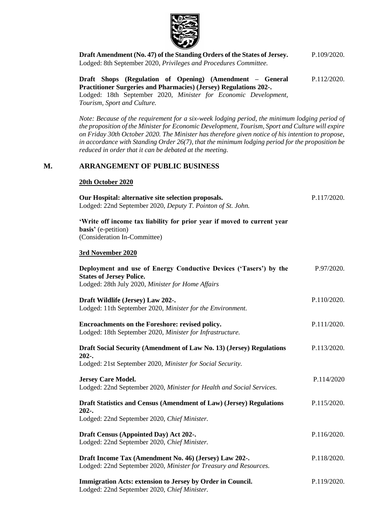

**[Draft Amendment \(No. 47\) of the Standing Orders of the States of Jersey.](https://statesassembly.gov.je/AssemblyPropositions/2020/P.109-2020.pdf)** Lodged: 8th September 2020, *[Privileges and Procedures Committee.](https://statesassembly.gov.je/AssemblyPropositions/2020/P.109-2020.pdf)* [P.109/2020.](https://statesassembly.gov.je/AssemblyPropositions/2020/P.109-2020.pdf)

**[Draft Shops \(Regulation of Opening\) \(Amendment –](https://statesassembly.gov.je/Pages/Propositions.aspx?ref=P.112/2020(Re-issue)&refurl=%2fPages%2fPropositions.aspx) General [Practitioner Surgeries and Pharmacies\) \(Jersey\) Regulations 202-.](https://statesassembly.gov.je/Pages/Propositions.aspx?ref=P.112/2020(Re-issue)&refurl=%2fPages%2fPropositions.aspx)** [P.112/2020.](https://statesassembly.gov.je/Pages/Propositions.aspx?ref=P.112/2020(Re-issue)&refurl=%2fPages%2fPropositions.aspx)

Lodged: 18th September 2020, *[Minister for Economic Development,](https://statesassembly.gov.je/Pages/Propositions.aspx?ref=P.112/2020(Re-issue)&refurl=%2fPages%2fPropositions.aspx)  [Tourism, Sport and Culture.](https://statesassembly.gov.je/Pages/Propositions.aspx?ref=P.112/2020(Re-issue)&refurl=%2fPages%2fPropositions.aspx)*

*Note: Because of the requirement for a six-week lodging period, the minimum lodging period of the proposition of the Minister for Economic Development, Tourism, Sport and Culture will expire on Friday 30th October 2020. The Minister has therefore given notice of his intention to propose, in accordance with Standing Order 26(7), that the minimum lodging period for the proposition be reduced in order that it can be debated at the meeting.*

#### **M. ARRANGEMENT OF PUBLIC BUSINESS**

#### **20th October 2020**

| Our Hospital: alternative site selection proposals.<br>Lodged: 22nd September 2020, Deputy T. Pointon of St. John.                                        | P.117/2020. |
|-----------------------------------------------------------------------------------------------------------------------------------------------------------|-------------|
| 'Write off income tax liability for prior year if moved to current year<br>basis' (e-petition)<br>(Consideration In-Committee)                            |             |
| 3rd November 2020                                                                                                                                         |             |
| Deployment and use of Energy Conductive Devices ('Tasers') by the<br><b>States of Jersey Police.</b><br>Lodged: 28th July 2020, Minister for Home Affairs | P.97/2020.  |
| Draft Wildlife (Jersey) Law 202-.<br>Lodged: 11th September 2020, Minister for the Environment.                                                           | P.110/2020. |
| Encroachments on the Foreshore: revised policy.<br>Lodged: 18th September 2020, Minister for Infrastructure.                                              | P.111/2020. |
| Draft Social Security (Amendment of Law No. 13) (Jersey) Regulations<br>$202-.$<br>Lodged: 21st September 2020, Minister for Social Security.             | P.113/2020. |
| <b>Jersey Care Model.</b><br>Lodged: 22nd September 2020, Minister for Health and Social Services.                                                        | P.114/2020  |
| Draft Statistics and Census (Amendment of Law) (Jersey) Regulations<br>$202-.$<br>Lodged: 22nd September 2020, Chief Minister.                            | P.115/2020. |
| Draft Census (Appointed Day) Act 202-.<br>Lodged: 22nd September 2020, Chief Minister.                                                                    | P.116/2020. |
| Draft Income Tax (Amendment No. 46) (Jersey) Law 202-.<br>Lodged: 22nd September 2020, Minister for Treasury and Resources.                               | P.118/2020. |
| Immigration Acts: extension to Jersey by Order in Council.<br>Lodged: 22nd September 2020, Chief Minister.                                                | P.119/2020. |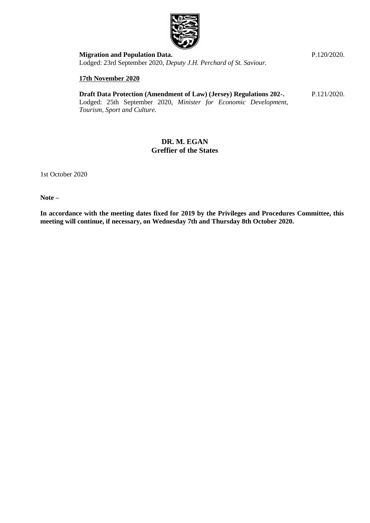

**[Migration and Population Data.](https://statesassembly.gov.je/AssemblyPropositions/2020/P.120-2020.pdf)**  Lodged: 23rd September 2020, *[Deputy J.H. Perchard of St. Saviour.](https://statesassembly.gov.je/AssemblyPropositions/2020/P.120-2020.pdf)*

#### **17th November 2020**

**[Draft Data Protection \(Amendment of Law\) \(Jersey\) Regulations 202-.](https://statesassembly.gov.je/assemblypropositions/2020/p.121-2020.pdf)** [P.121/2020.](https://statesassembly.gov.je/assemblypropositions/2020/p.121-2020.pdf)

Lodged: 25th September 2020, *[Minister for Economic Development,](https://statesassembly.gov.je/assemblypropositions/2020/p.121-2020.pdf)  [Tourism, Sport and Culture.](https://statesassembly.gov.je/assemblypropositions/2020/p.121-2020.pdf)*

### **DR. M. EGAN Greffier of the States**

1st October 2020

**Note –**

**In accordance with the meeting dates fixed for 2019 by the Privileges and Procedures Committee, this meeting will continue, if necessary, on Wednesday 7th and Thursday 8th October 2020.**

[P.120/2020.](https://statesassembly.gov.je/AssemblyPropositions/2020/P.120-2020.pdf)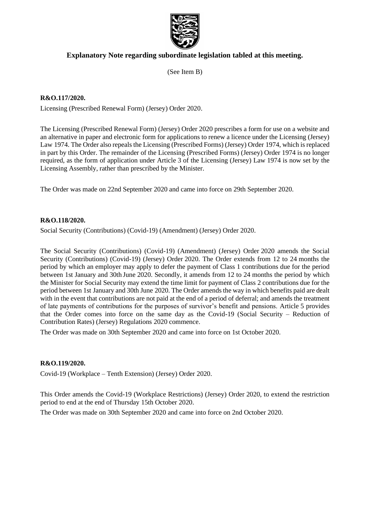

# **Explanatory Note regarding subordinate legislation tabled at this meeting.**

(See Item B)

### **R&O.117/2020.**

Licensing (Prescribed Renewal Form) (Jersey) Order 2020.

The Licensing (Prescribed Renewal Form) (Jersey) Order 2020 prescribes a form for use on a website and an alternative in paper and electronic form for applications to renew a licence under the Licensing (Jersey) Law 1974. The Order also repeals the Licensing (Prescribed Forms) (Jersey) Order 1974, which is replaced in part by this Order. The remainder of the Licensing (Prescribed Forms) (Jersey) Order 1974 is no longer required, as the form of application under Article 3 of the Licensing (Jersey) Law 1974 is now set by the Licensing Assembly, rather than prescribed by the Minister.

The Order was made on 22nd September 2020 and came into force on 29th September 2020.

#### **R&O.118/2020.**

Social Security (Contributions) (Covid-19) (Amendment) (Jersey) Order 2020.

The Social Security (Contributions) (Covid-19) (Amendment) (Jersey) Order 2020 amends the Social Security (Contributions) (Covid-19) (Jersey) Order 2020. The Order extends from 12 to 24 months the period by which an employer may apply to defer the payment of Class 1 contributions due for the period between 1st January and 30th June 2020. Secondly, it amends from 12 to 24 months the period by which the Minister for Social Security may extend the time limit for payment of Class 2 contributions due for the period between 1st January and 30th June 2020. The Order amends the way in which benefits paid are dealt with in the event that contributions are not paid at the end of a period of deferral; and amends the treatment of late payments of contributions for the purposes of survivor's benefit and pensions. Article 5 provides that the Order comes into force on the same day as the Covid-19 (Social Security – Reduction of Contribution Rates) (Jersey) Regulations 2020 commence.

The Order was made on 30th September 2020 and came into force on 1st October 2020.

#### **R&O.119/2020.**

Covid-19 (Workplace – Tenth Extension) (Jersey) Order 2020.

This Order amends the Covid-19 (Workplace Restrictions) (Jersey) Order 2020, to extend the restriction period to end at the end of Thursday 15th October 2020.

The Order was made on 30th September 2020 and came into force on 2nd October 2020.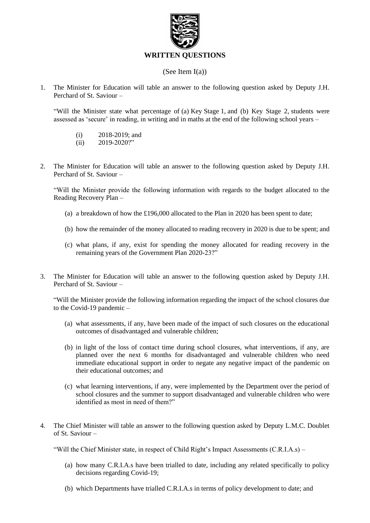

### **WRITTEN QUESTIONS**

### (See Item I(a))

1. The Minister for Education will table an answer to the following question asked by Deputy J.H. Perchard of St. Saviour –

"Will the Minister state what percentage of (a) Key Stage 1, and (b) Key Stage 2, students were assessed as 'secure' in reading, in writing and in maths at the end of the following school years –

- (i) 2018-2019; and
- $(ii)$  2019-2020?"
- 2. The Minister for Education will table an answer to the following question asked by Deputy J.H. Perchard of St. Saviour –

"Will the Minister provide the following information with regards to the budget allocated to the Reading Recovery Plan –

- (a) a breakdown of how the £196,000 allocated to the Plan in 2020 has been spent to date;
- (b) how the remainder of the money allocated to reading recovery in 2020 is due to be spent; and
- (c) what plans, if any, exist for spending the money allocated for reading recovery in the remaining years of the Government Plan 2020-23?"
- 3. The Minister for Education will table an answer to the following question asked by Deputy J.H. Perchard of St. Saviour –

"Will the Minister provide the following information regarding the impact of the school closures due to the Covid-19 pandemic –

- (a) what assessments, if any, have been made of the impact of such closures on the educational outcomes of disadvantaged and vulnerable children;
- (b) in light of the loss of contact time during school closures, what interventions, if any, are planned over the next 6 months for disadvantaged and vulnerable children who need immediate educational support in order to negate any negative impact of the pandemic on their educational outcomes; and
- (c) what learning interventions, if any, were implemented by the Department over the period of school closures and the summer to support disadvantaged and vulnerable children who were identified as most in need of them?"
- 4. The Chief Minister will table an answer to the following question asked by Deputy L.M.C. Doublet of St. Saviour –

"Will the Chief Minister state, in respect of Child Right's Impact Assessments (C.R.I.A.s) –

- (a) how many C.R.I.A.s have been trialled to date, including any related specifically to policy decisions regarding Covid-19;
- (b) which Departments have trialled C.R.I.A.s in terms of policy development to date; and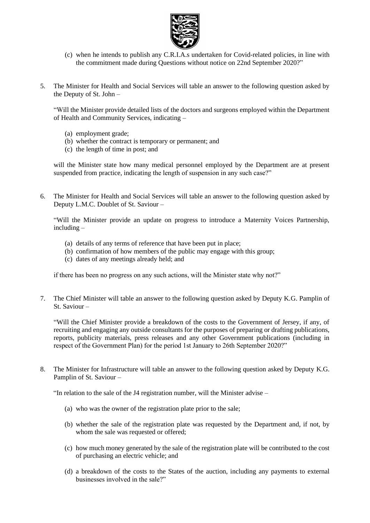

- (c) when he intends to publish any C.R.I.A.s undertaken for Covid-related policies, in line with the commitment made during Questions without notice on 22nd September 2020?"
- 5. The Minister for Health and Social Services will table an answer to the following question asked by the Deputy of St. John –

"Will the Minister provide detailed lists of the doctors and surgeons employed within the Department of Health and Community Services, indicating –

- (a) employment grade;
- (b) whether the contract is temporary or permanent; and
- (c) the length of time in post; and

will the Minister state how many medical personnel employed by the Department are at present suspended from practice, indicating the length of suspension in any such case?"

6. The Minister for Health and Social Services will table an answer to the following question asked by Deputy L.M.C. Doublet of St. Saviour –

"Will the Minister provide an update on progress to introduce a Maternity Voices Partnership, including –

- (a) details of any terms of reference that have been put in place;
- (b) confirmation of how members of the public may engage with this group;
- (c) dates of any meetings already held; and

if there has been no progress on any such actions, will the Minister state why not?"

7. The Chief Minister will table an answer to the following question asked by Deputy K.G. Pamplin of St. Saviour –

"Will the Chief Minister provide a breakdown of the costs to the Government of Jersey, if any, of recruiting and engaging any outside consultants for the purposes of preparing or drafting publications, reports, publicity materials, press releases and any other Government publications (including in respect of the Government Plan) for the period 1st January to 26th September 2020?"

8. The Minister for Infrastructure will table an answer to the following question asked by Deputy K.G. Pamplin of St. Saviour –

"In relation to the sale of the J4 registration number, will the Minister advise –

- (a) who was the owner of the registration plate prior to the sale;
- (b) whether the sale of the registration plate was requested by the Department and, if not, by whom the sale was requested or offered;
- (c) how much money generated by the sale of the registration plate will be contributed to the cost of purchasing an electric vehicle; and
- (d) a breakdown of the costs to the States of the auction, including any payments to external businesses involved in the sale?"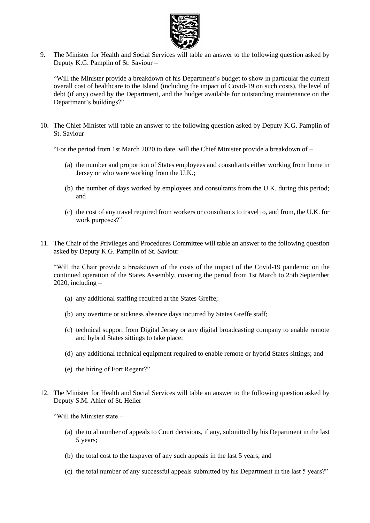

9. The Minister for Health and Social Services will table an answer to the following question asked by Deputy K.G. Pamplin of St. Saviour –

"Will the Minister provide a breakdown of his Department's budget to show in particular the current overall cost of healthcare to the Island (including the impact of Covid-19 on such costs), the level of debt (if any) owed by the Department, and the budget available for outstanding maintenance on the Department's buildings?"

10. The Chief Minister will table an answer to the following question asked by Deputy K.G. Pamplin of St. Saviour –

"For the period from 1st March 2020 to date, will the Chief Minister provide a breakdown of –

- (a) the number and proportion of States employees and consultants either working from home in Jersey or who were working from the U.K.;
- (b) the number of days worked by employees and consultants from the U.K. during this period; and
- (c) the cost of any travel required from workers or consultants to travel to, and from, the U.K. for work purposes?"
- 11. The Chair of the Privileges and Procedures Committee will table an answer to the following question asked by Deputy K.G. Pamplin of St. Saviour –

"Will the Chair provide a breakdown of the costs of the impact of the Covid-19 pandemic on the continued operation of the States Assembly, covering the period from 1st March to 25th September 2020, including  $-$ 

- (a) any additional staffing required at the States Greffe;
- (b) any overtime or sickness absence days incurred by States Greffe staff;
- (c) technical support from Digital Jersey or any digital broadcasting company to enable remote and hybrid States sittings to take place;
- (d) any additional technical equipment required to enable remote or hybrid States sittings; and
- (e) the hiring of Fort Regent?"
- 12. The Minister for Health and Social Services will table an answer to the following question asked by Deputy S.M. Ahier of St. Helier –

"Will the Minister state –

- (a) the total number of appeals to Court decisions, if any, submitted by his Department in the last 5 years;
- (b) the total cost to the taxpayer of any such appeals in the last 5 years; and
- (c) the total number of any successful appeals submitted by his Department in the last 5 years?"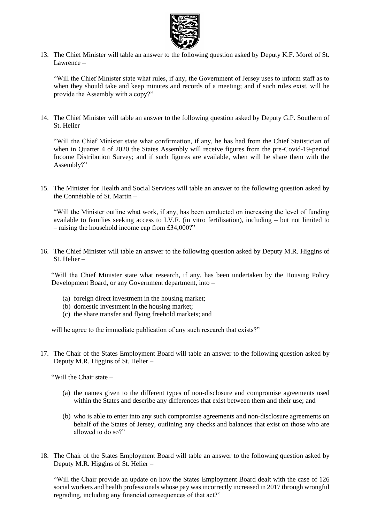

13. The Chief Minister will table an answer to the following question asked by Deputy K.F. Morel of St. Lawrence –

"Will the Chief Minister state what rules, if any, the Government of Jersey uses to inform staff as to when they should take and keep minutes and records of a meeting; and if such rules exist, will he provide the Assembly with a copy?"

14. The Chief Minister will table an answer to the following question asked by Deputy G.P. Southern of St. Helier –

"Will the Chief Minister state what confirmation, if any, he has had from the Chief Statistician of when in Quarter 4 of 2020 the States Assembly will receive figures from the pre-Covid-19-period Income Distribution Survey; and if such figures are available, when will he share them with the Assembly?"

15. The Minister for Health and Social Services will table an answer to the following question asked by the Connétable of St. Martin –

"Will the Minister outline what work, if any, has been conducted on increasing the level of funding available to families seeking access to I.V.F. (in vitro fertilisation), including – but not limited to – raising the household income cap from £34,000?"

16. The Chief Minister will table an answer to the following question asked by Deputy M.R. Higgins of St. Helier –

"Will the Chief Minister state what research, if any, has been undertaken by the Housing Policy Development Board, or any Government department, into –

- (a) foreign direct investment in the housing market;
- (b) domestic investment in the housing market;
- (c) the share transfer and flying freehold markets; and

will he agree to the immediate publication of any such research that exists?"

17. The Chair of the States Employment Board will table an answer to the following question asked by Deputy M.R. Higgins of St. Helier –

"Will the Chair state –

- (a) the names given to the different types of non-disclosure and compromise agreements used within the States and describe any differences that exist between them and their use; and
- (b) who is able to enter into any such compromise agreements and non-disclosure agreements on behalf of the States of Jersey, outlining any checks and balances that exist on those who are allowed to do so?"
- 18. The Chair of the States Employment Board will table an answer to the following question asked by Deputy M.R. Higgins of St. Helier –

"Will the Chair provide an update on how the States Employment Board dealt with the case of 126 social workers and health professionals whose pay was incorrectly increased in 2017 through wrongful regrading, including any financial consequences of that act?"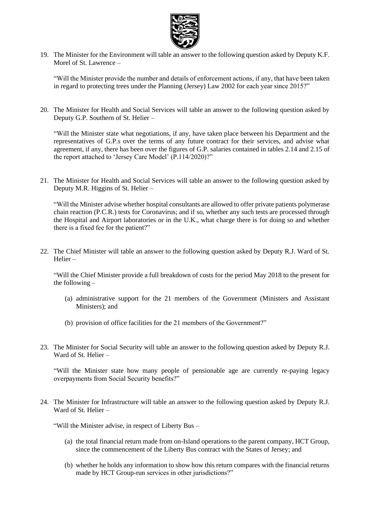

19. The Minister for the Environment will table an answer to the following question asked by Deputy K.F. Morel of St. Lawrence –

"Will the Minister provide the number and details of enforcement actions, if any, that have been taken in regard to protecting trees under the Planning (Jersey) Law 2002 for each year since 2015?"

20. The Minister for Health and Social Services will table an answer to the following question asked by Deputy G.P. Southern of St. Helier –

"Will the Minister state what negotiations, if any, have taken place between his Department and the representatives of G.P.s over the terms of any future contract for their services, and advise what agreement, if any, there has been over the figures of G.P. salaries contained in tables 2.14 and 2.15 of the report attached to 'Jersey Care Model' (P.114/2020)?"

21. The Minister for Health and Social Services will table an answer to the following question asked by Deputy M.R. Higgins of St. Helier –

"Will the Minister advise whether hospital consultants are allowed to offer private patients polymerase chain reaction (P.C.R.) tests for Coronavirus; and if so, whether any such tests are processed through the Hospital and Airport laboratories or in the U.K., what charge there is for doing so and whether there is a fixed fee for the patient?"

22. The Chief Minister will table an answer to the following question asked by Deputy R.J. Ward of St. Helier –

"Will the Chief Minister provide a full breakdown of costs for the period May 2018 to the present for the following –

- (a) administrative support for the 21 members of the Government (Ministers and Assistant Ministers); and
- (b) provision of office facilities for the 21 members of the Government?"
- 23. The Minister for Social Security will table an answer to the following question asked by Deputy R.J. Ward of St. Helier –

"Will the Minister state how many people of pensionable age are currently re-paying legacy overpayments from Social Security benefits?"

24. The Minister for Infrastructure will table an answer to the following question asked by Deputy R.J. Ward of St. Helier –

"Will the Minister advise, in respect of Liberty Bus –

- (a) the total financial return made from on-Island operations to the parent company, HCT Group, since the commencement of the Liberty Bus contract with the States of Jersey; and
- (b) whether he holds any information to show how this return compares with the financial returns made by HCT Group-run services in other jurisdictions?"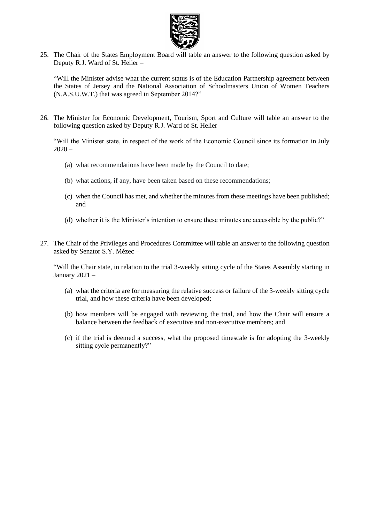

25. The Chair of the States Employment Board will table an answer to the following question asked by Deputy R.J. Ward of St. Helier –

"Will the Minister advise what the current status is of the Education Partnership agreement between the States of Jersey and the National Association of Schoolmasters Union of Women Teachers (N.A.S.U.W.T.) that was agreed in September 2014?"

26. The Minister for Economic Development, Tourism, Sport and Culture will table an answer to the following question asked by Deputy R.J. Ward of St. Helier –

"Will the Minister state, in respect of the work of the Economic Council since its formation in July  $2020 -$ 

- (a) what recommendations have been made by the Council to date;
- (b) what actions, if any, have been taken based on these recommendations;
- (c) when the Council has met, and whether the minutes from these meetings have been published; and
- (d) whether it is the Minister's intention to ensure these minutes are accessible by the public?"
- 27. The Chair of the Privileges and Procedures Committee will table an answer to the following question asked by Senator S.Y. Mézec –

"Will the Chair state, in relation to the trial 3-weekly sitting cycle of the States Assembly starting in January 2021 –

- (a) what the criteria are for measuring the relative success or failure of the 3-weekly sitting cycle trial, and how these criteria have been developed;
- (b) how members will be engaged with reviewing the trial, and how the Chair will ensure a balance between the feedback of executive and non-executive members; and
- (c) if the trial is deemed a success, what the proposed timescale is for adopting the 3-weekly sitting cycle permanently?"